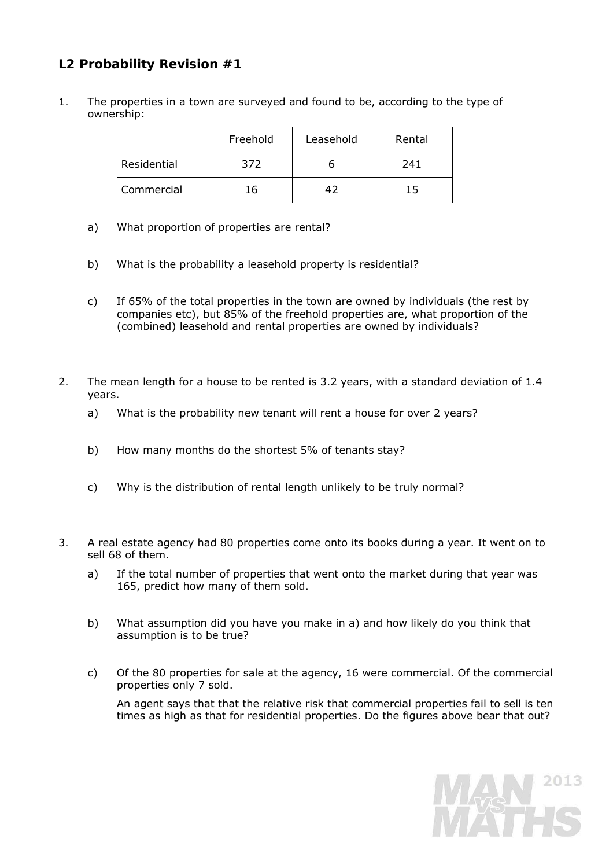# **L2 Probability Revision #1**

1. The properties in a town are surveyed and found to be, according to the type of ownership:

|             | Freehold | Leasehold | Rental |
|-------------|----------|-----------|--------|
| Residential | 372      |           | 241    |
| Commercial  | 16       |           | ר ד    |

- a) What proportion of properties are rental?
- b) What is the probability a leasehold property is residential?
- c) If 65% of the total properties in the town are owned by individuals (the rest by companies etc), but 85% of the freehold properties are, what proportion of the (combined) leasehold and rental properties are owned by individuals?
- 2. The mean length for a house to be rented is 3.2 years, with a standard deviation of 1.4 years.
	- a) What is the probability new tenant will rent a house for over 2 years?
	- b) How many months do the shortest 5% of tenants stay?
	- c) Why is the distribution of rental length unlikely to be truly normal?
- 3. A real estate agency had 80 properties come onto its books during a year. It went on to sell 68 of them.
	- a) If the total number of properties that went onto the market during that year was 165, predict how many of them sold.
	- b) What assumption did you have you make in a) and how likely do you think that assumption is to be true?
	- c) Of the 80 properties for sale at the agency, 16 were commercial. Of the commercial properties only 7 sold.

 An agent says that that the relative risk that commercial properties fail to sell is ten times as high as that for residential properties. Do the figures above bear that out?